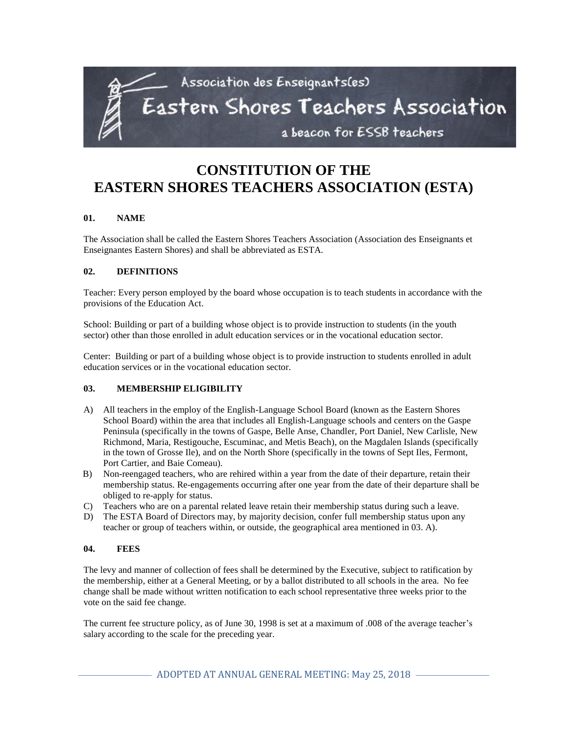

# **CONSTITUTION OF THE EASTERN SHORES TEACHERS ASSOCIATION (ESTA)**

## **01. NAME**

The Association shall be called the Eastern Shores Teachers Association (Association des Enseignants et Enseignantes Eastern Shores) and shall be abbreviated as ESTA.

#### **02. DEFINITIONS**

Teacher: Every person employed by the board whose occupation is to teach students in accordance with the provisions of the Education Act.

School: Building or part of a building whose object is to provide instruction to students (in the youth sector) other than those enrolled in adult education services or in the vocational education sector.

Center: Building or part of a building whose object is to provide instruction to students enrolled in adult education services or in the vocational education sector.

# **03. MEMBERSHIP ELIGIBILITY**

- A) All teachers in the employ of the English-Language School Board (known as the Eastern Shores School Board) within the area that includes all English-Language schools and centers on the Gaspe Peninsula (specifically in the towns of Gaspe, Belle Anse, Chandler, Port Daniel, New Carlisle, New Richmond, Maria, Restigouche, Escuminac, and Metis Beach), on the Magdalen Islands (specifically in the town of Grosse Ile), and on the North Shore (specifically in the towns of Sept Iles, Fermont, Port Cartier, and Baie Comeau).
- B) Non-reengaged teachers, who are rehired within a year from the date of their departure, retain their membership status. Re-engagements occurring after one year from the date of their departure shall be obliged to re-apply for status.
- C) Teachers who are on a parental related leave retain their membership status during such a leave.
- D) The ESTA Board of Directors may, by majority decision, confer full membership status upon any teacher or group of teachers within, or outside, the geographical area mentioned in 03. A).

#### **04. FEES**

The levy and manner of collection of fees shall be determined by the Executive, subject to ratification by the membership, either at a General Meeting, or by a ballot distributed to all schools in the area. No fee change shall be made without written notification to each school representative three weeks prior to the vote on the said fee change.

The current fee structure policy, as of June 30, 1998 is set at a maximum of .008 of the average teacher's salary according to the scale for the preceding year.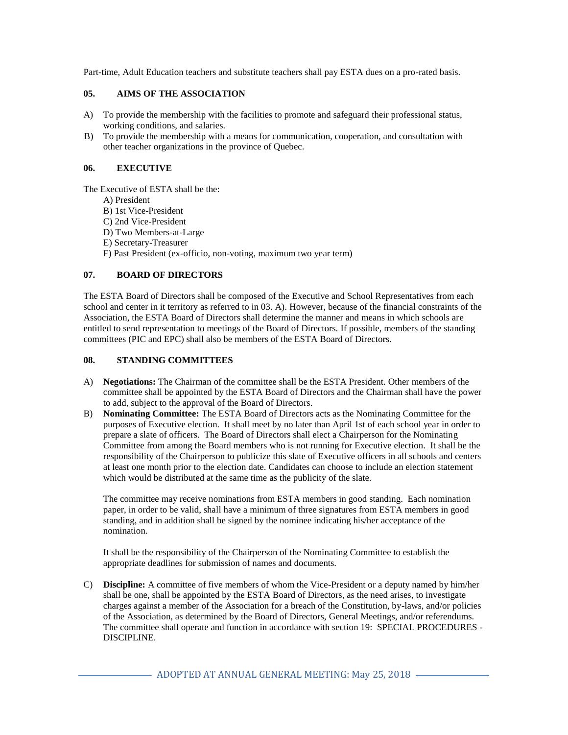Part-time, Adult Education teachers and substitute teachers shall pay ESTA dues on a pro-rated basis.

#### **05. AIMS OF THE ASSOCIATION**

- A) To provide the membership with the facilities to promote and safeguard their professional status, working conditions, and salaries.
- B) To provide the membership with a means for communication, cooperation, and consultation with other teacher organizations in the province of Quebec.

#### **06. EXECUTIVE**

The Executive of ESTA shall be the:

- A) President
- B) 1st Vice-President
- C) 2nd Vice-President
- D) Two Members-at-Large
- E) Secretary-Treasurer
- F) Past President (ex-officio, non-voting, maximum two year term)

# **07. BOARD OF DIRECTORS**

The ESTA Board of Directors shall be composed of the Executive and School Representatives from each school and center in it territory as referred to in 03. A). However, because of the financial constraints of the Association, the ESTA Board of Directors shall determine the manner and means in which schools are entitled to send representation to meetings of the Board of Directors. If possible, members of the standing committees (PIC and EPC) shall also be members of the ESTA Board of Directors.

## **08. STANDING COMMITTEES**

- A) **Negotiations:** The Chairman of the committee shall be the ESTA President. Other members of the committee shall be appointed by the ESTA Board of Directors and the Chairman shall have the power to add, subject to the approval of the Board of Directors.
- B) **Nominating Committee:** The ESTA Board of Directors acts as the Nominating Committee for the purposes of Executive election. It shall meet by no later than April 1st of each school year in order to prepare a slate of officers. The Board of Directors shall elect a Chairperson for the Nominating Committee from among the Board members who is not running for Executive election. It shall be the responsibility of the Chairperson to publicize this slate of Executive officers in all schools and centers at least one month prior to the election date. Candidates can choose to include an election statement which would be distributed at the same time as the publicity of the slate.

The committee may receive nominations from ESTA members in good standing. Each nomination paper, in order to be valid, shall have a minimum of three signatures from ESTA members in good standing, and in addition shall be signed by the nominee indicating his/her acceptance of the nomination.

It shall be the responsibility of the Chairperson of the Nominating Committee to establish the appropriate deadlines for submission of names and documents.

C) **Discipline:** A committee of five members of whom the Vice-President or a deputy named by him/her shall be one, shall be appointed by the ESTA Board of Directors, as the need arises, to investigate charges against a member of the Association for a breach of the Constitution, by-laws, and/or policies of the Association, as determined by the Board of Directors, General Meetings, and/or referendums. The committee shall operate and function in accordance with section 19: SPECIAL PROCEDURES - DISCIPLINE.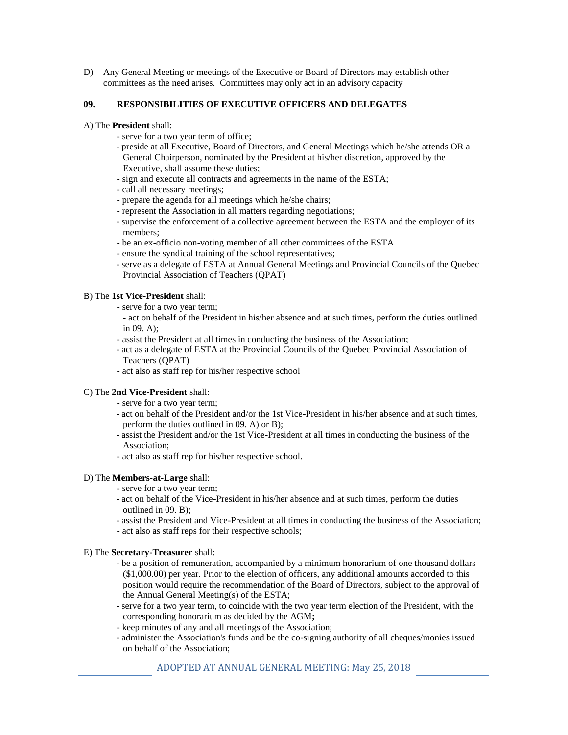D) Any General Meeting or meetings of the Executive or Board of Directors may establish other committees as the need arises. Committees may only act in an advisory capacity

#### **09. RESPONSIBILITIES OF EXECUTIVE OFFICERS AND DELEGATES**

- A) The **President** shall:
	- serve for a two year term of office;
	- preside at all Executive, Board of Directors, and General Meetings which he/she attends OR a General Chairperson, nominated by the President at his/her discretion, approved by the Executive, shall assume these duties;
	- sign and execute all contracts and agreements in the name of the ESTA;
	- call all necessary meetings;
	- prepare the agenda for all meetings which he/she chairs;
	- represent the Association in all matters regarding negotiations;
	- supervise the enforcement of a collective agreement between the ESTA and the employer of its members;
	- be an ex-officio non-voting member of all other committees of the ESTA
	- ensure the syndical training of the school representatives;
	- serve as a delegate of ESTA at Annual General Meetings and Provincial Councils of the Quebec Provincial Association of Teachers (QPAT)

#### B) The **1st Vice-President** shall:

- serve for a two year term;
	- act on behalf of the President in his/her absence and at such times, perform the duties outlined in 09. A);
- assist the President at all times in conducting the business of the Association;
- act as a delegate of ESTA at the Provincial Councils of the Quebec Provincial Association of Teachers (QPAT)
- act also as staff rep for his/her respective school

## C) The **2nd Vice-President** shall:

- serve for a two year term;
- act on behalf of the President and/or the 1st Vice-President in his/her absence and at such times, perform the duties outlined in 09. A) or B);
- assist the President and/or the 1st Vice-President at all times in conducting the business of the Association;
- act also as staff rep for his/her respective school.

## D) The **Members-at-Large** shall:

- serve for a two year term;
- act on behalf of the Vice-President in his/her absence and at such times, perform the duties outlined in 09. B);
- assist the President and Vice-President at all times in conducting the business of the Association;
- act also as staff reps for their respective schools;

#### E) The **Secretary-Treasurer** shall:

- be a position of remuneration, accompanied by a minimum honorarium of one thousand dollars (\$1,000.00) per year. Prior to the election of officers, any additional amounts accorded to this position would require the recommendation of the Board of Directors, subject to the approval of the Annual General Meeting(s) of the ESTA;
- serve for a two year term, to coincide with the two year term election of the President, with the corresponding honorarium as decided by the AGM**;**
- keep minutes of any and all meetings of the Association;
- administer the Association's funds and be the co-signing authority of all cheques/monies issued on behalf of the Association;

## ADOPTED AT ANNUAL GENERAL MEETING: May 25, 2018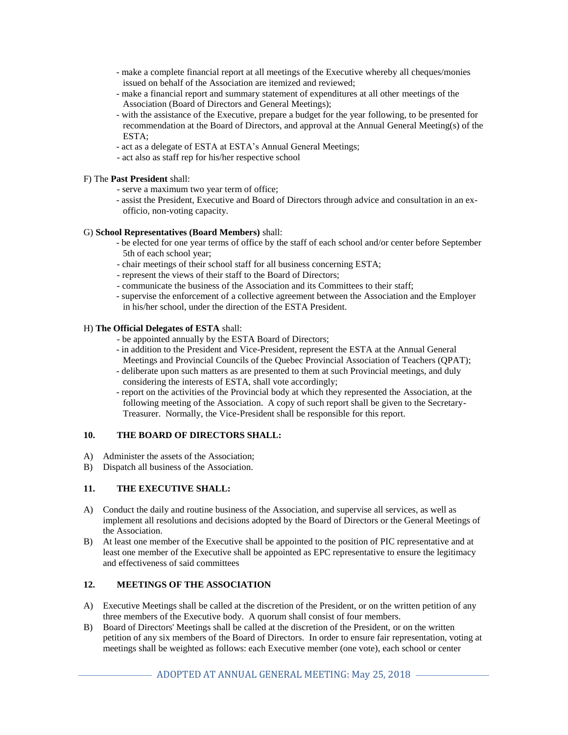- make a complete financial report at all meetings of the Executive whereby all cheques/monies issued on behalf of the Association are itemized and reviewed;
- make a financial report and summary statement of expenditures at all other meetings of the Association (Board of Directors and General Meetings);
- with the assistance of the Executive, prepare a budget for the year following, to be presented for recommendation at the Board of Directors, and approval at the Annual General Meeting(s) of the ESTA;
- act as a delegate of ESTA at ESTA's Annual General Meetings;
- act also as staff rep for his/her respective school

## F) The **Past President** shall:

- serve a maximum two year term of office;
- assist the President, Executive and Board of Directors through advice and consultation in an exofficio, non-voting capacity.

#### G) **School Representatives (Board Members)** shall:

- be elected for one year terms of office by the staff of each school and/or center before September 5th of each school year;
- chair meetings of their school staff for all business concerning ESTA;
- represent the views of their staff to the Board of Directors;
- communicate the business of the Association and its Committees to their staff;
- supervise the enforcement of a collective agreement between the Association and the Employer in his/her school, under the direction of the ESTA President.

#### H) **The Official Delegates of ESTA** shall:

- be appointed annually by the ESTA Board of Directors;
- in addition to the President and Vice-President, represent the ESTA at the Annual General Meetings and Provincial Councils of the Quebec Provincial Association of Teachers (QPAT);
- deliberate upon such matters as are presented to them at such Provincial meetings, and duly considering the interests of ESTA, shall vote accordingly;
- report on the activities of the Provincial body at which they represented the Association, at the following meeting of the Association. A copy of such report shall be given to the Secretary-Treasurer. Normally, the Vice-President shall be responsible for this report.

#### **10. THE BOARD OF DIRECTORS SHALL:**

- A) Administer the assets of the Association;
- B) Dispatch all business of the Association.

## **11. THE EXECUTIVE SHALL:**

- A) Conduct the daily and routine business of the Association, and supervise all services, as well as implement all resolutions and decisions adopted by the Board of Directors or the General Meetings of the Association.
- B) At least one member of the Executive shall be appointed to the position of PIC representative and at least one member of the Executive shall be appointed as EPC representative to ensure the legitimacy and effectiveness of said committees

## **12. MEETINGS OF THE ASSOCIATION**

- A) Executive Meetings shall be called at the discretion of the President, or on the written petition of any three members of the Executive body. A quorum shall consist of four members.
- B) Board of Directors' Meetings shall be called at the discretion of the President, or on the written petition of any six members of the Board of Directors. In order to ensure fair representation, voting at meetings shall be weighted as follows: each Executive member (one vote), each school or center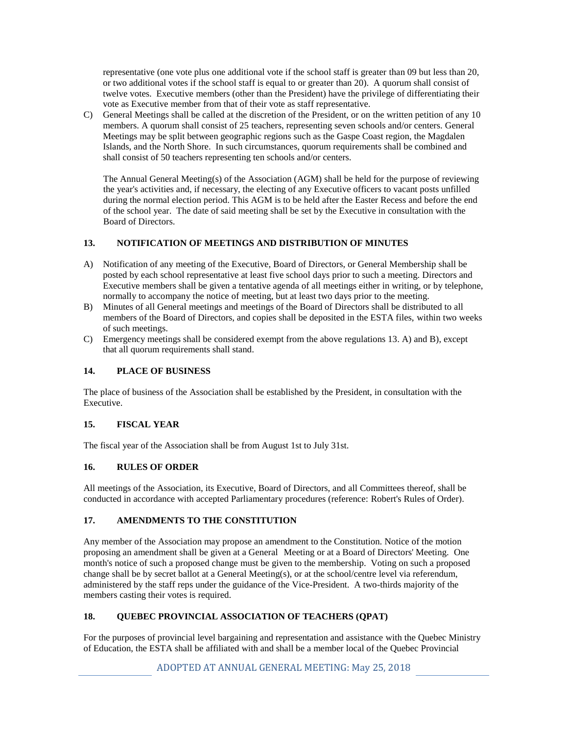representative (one vote plus one additional vote if the school staff is greater than 09 but less than 20, or two additional votes if the school staff is equal to or greater than 20). A quorum shall consist of twelve votes. Executive members (other than the President) have the privilege of differentiating their vote as Executive member from that of their vote as staff representative.

C) General Meetings shall be called at the discretion of the President, or on the written petition of any 10 members. A quorum shall consist of 25 teachers, representing seven schools and/or centers. General Meetings may be split between geographic regions such as the Gaspe Coast region, the Magdalen Islands, and the North Shore. In such circumstances, quorum requirements shall be combined and shall consist of 50 teachers representing ten schools and/or centers.

The Annual General Meeting(s) of the Association (AGM) shall be held for the purpose of reviewing the year's activities and, if necessary, the electing of any Executive officers to vacant posts unfilled during the normal election period. This AGM is to be held after the Easter Recess and before the end of the school year. The date of said meeting shall be set by the Executive in consultation with the Board of Directors.

## **13. NOTIFICATION OF MEETINGS AND DISTRIBUTION OF MINUTES**

- A) Notification of any meeting of the Executive, Board of Directors, or General Membership shall be posted by each school representative at least five school days prior to such a meeting. Directors and Executive members shall be given a tentative agenda of all meetings either in writing, or by telephone, normally to accompany the notice of meeting, but at least two days prior to the meeting.
- B) Minutes of all General meetings and meetings of the Board of Directors shall be distributed to all members of the Board of Directors, and copies shall be deposited in the ESTA files, within two weeks of such meetings.
- C) Emergency meetings shall be considered exempt from the above regulations 13. A) and B), except that all quorum requirements shall stand.

# **14. PLACE OF BUSINESS**

The place of business of the Association shall be established by the President, in consultation with the Executive.

## **15. FISCAL YEAR**

The fiscal year of the Association shall be from August 1st to July 31st.

# **16. RULES OF ORDER**

All meetings of the Association, its Executive, Board of Directors, and all Committees thereof, shall be conducted in accordance with accepted Parliamentary procedures (reference: Robert's Rules of Order).

# **17. AMENDMENTS TO THE CONSTITUTION**

Any member of the Association may propose an amendment to the Constitution. Notice of the motion proposing an amendment shall be given at a General Meeting or at a Board of Directors' Meeting. One month's notice of such a proposed change must be given to the membership. Voting on such a proposed change shall be by secret ballot at a General Meeting(s), or at the school/centre level via referendum, administered by the staff reps under the guidance of the Vice-President. A two-thirds majority of the members casting their votes is required.

# **18. QUEBEC PROVINCIAL ASSOCIATION OF TEACHERS (QPAT)**

For the purposes of provincial level bargaining and representation and assistance with the Quebec Ministry of Education, the ESTA shall be affiliated with and shall be a member local of the Quebec Provincial

ADOPTED AT ANNUAL GENERAL MEETING: May 25, 2018